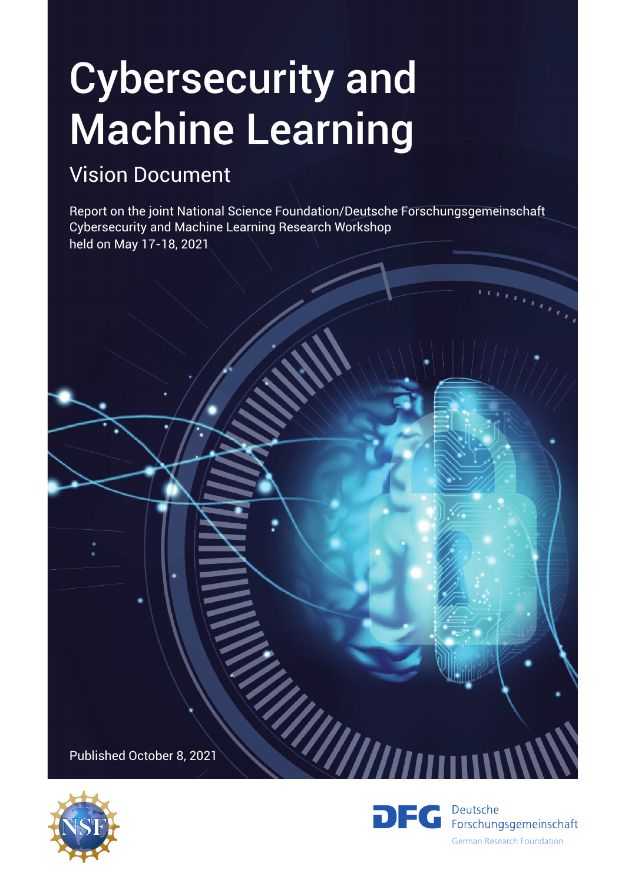# Cybersecurity and Machine Learning

# Vision Document

Report on the joint National Science Foundation/Deutsche Forschungsgemeinschaft Cybersecurity and Machine Learning Research Workshop held on May 17-18, 2021

William

Published October 8, 2021



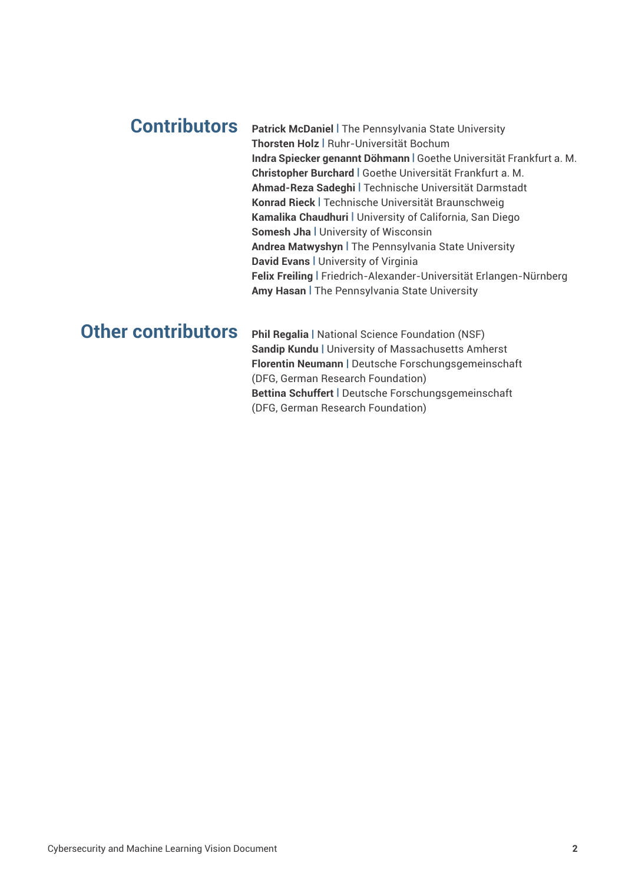### **Contributors**

**Patrick McDaniel |** The Pennsylvania State University **Thorsten Holz |** Ruhr-Universität Bochum **Indra Spiecker genannt Döhmann |** Goethe Universität Frankfurt a. M. **Christopher Burchard |** Goethe Universität Frankfurt a. M. **Ahmad-Reza Sadeghi |** Technische Universität Darmstadt **Konrad Rieck |** Technische Universität Braunschweig **Kamalika Chaudhuri |** University of California, San Diego **Somesh Jha |** University of Wisconsin **Andrea Matwyshyn |** The Pennsylvania State University **David Evans |** University of Virginia **Felix Freiling |** Friedrich-Alexander-Universität Erlangen-Nürnberg **Amy Hasan |** The Pennsylvania State University

## **Other contributors**

**Phil Regalia |** National Science Foundation (NSF) **Sandip Kundu |** University of Massachusetts Amherst **Florentin Neumann |** Deutsche Forschungsgemeinschaft (DFG, German Research Foundation) **Bettina Schuffert |** Deutsche Forschungsgemeinschaft (DFG, German Research Foundation)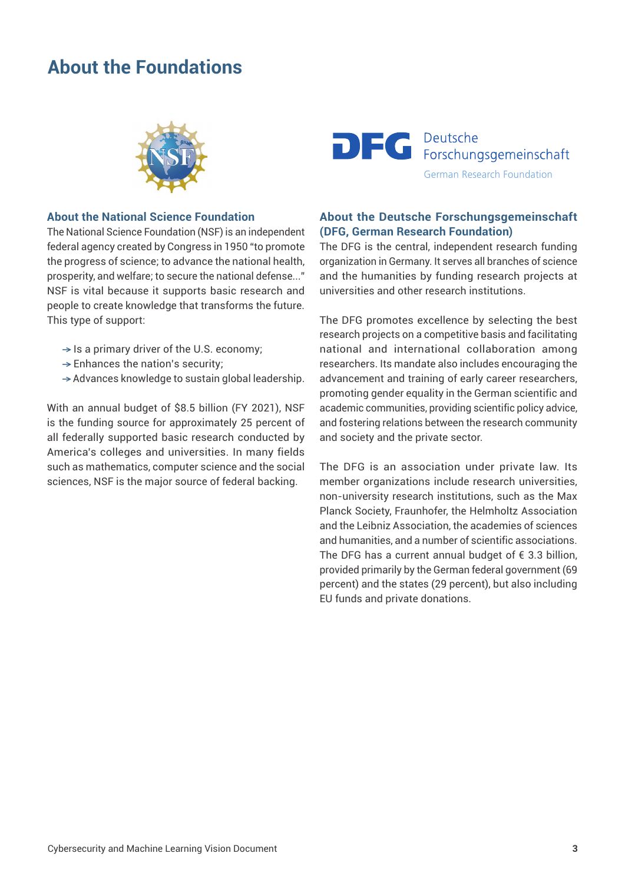## **About the Foundations**



#### **About the National Science Foundation**

The National Science Foundation (NSF) is an independent federal agency created by Congress in 1950 "to promote the progress of science; to advance the national health, prosperity, and welfare; to secure the national defense..." NSF is vital because it supports basic research and people to create knowledge that transforms the future. This type of support:

- $\rightarrow$  Is a primary driver of the U.S. economy;
- $\rightarrow$  Enhances the nation's security;
- → Advances knowledge to sustain global leadership.

With an annual budget of \$8.5 billion (FY 2021), NSF is the funding source for approximately 25 percent of all federally supported basic research conducted by America's colleges and universities. In many fields such as mathematics, computer science and the social sciences, NSF is the major source of federal backing.



#### **About the Deutsche Forschungsgemeinschaft (DFG, German Research Foundation)**

The DFG is the central, independent research funding organization in Germany. It serves all branches of science and the humanities by funding research projects at universities and other research institutions.

The DFG promotes excellence by selecting the best research projects on a competitive basis and facilitating national and international collaboration among researchers. Its mandate also includes encouraging the advancement and training of early career researchers, promoting gender equality in the German scientific and academic communities, providing scientific policy advice, and fostering relations between the research community and society and the private sector.

The DFG is an association under private law. Its member organizations include research universities, non-university research institutions, such as the Max Planck Society, Fraunhofer, the Helmholtz Association and the Leibniz Association, the academies of sciences and humanities, and a number of scientific associations. The DFG has a current annual budget of  $\epsilon$  3.3 billion, provided primarily by the German federal government (69 percent) and the states (29 percent), but also including EU funds and private donations.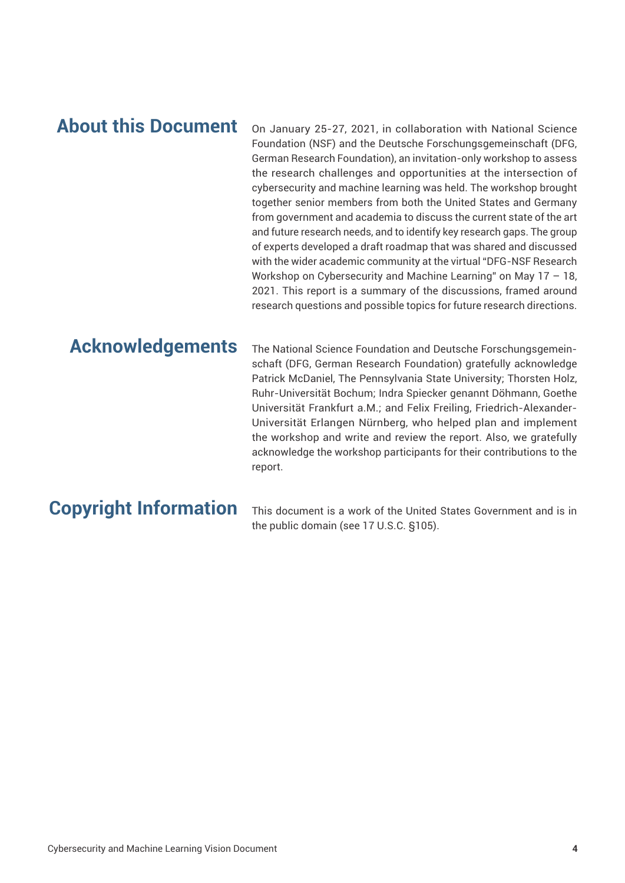## **About this Document**

On January 25-27, 2021, in collaboration with National Science Foundation (NSF) and the Deutsche Forschungsgemeinschaft (DFG, German Research Foundation), an invitation-only workshop to assess the research challenges and opportunities at the intersection of cybersecurity and machine learning was held. The workshop brought together senior members from both the United States and Germany from government and academia to discuss the current state of the art and future research needs, and to identify key research gaps. The group of experts developed a draft roadmap that was shared and discussed with the wider academic community at the virtual "DFG-NSF Research Workshop on Cybersecurity and Machine Learning" on May 17 – 18, 2021. This report is a summary of the discussions, framed around research questions and possible topics for future research directions.

## **Acknowledgements**

The National Science Foundation and Deutsche Forschungsgemeinschaft (DFG, German Research Foundation) gratefully acknowledge Patrick McDaniel, The Pennsylvania State University; Thorsten Holz, Ruhr-Universität Bochum; Indra Spiecker genannt Döhmann, Goethe Universität Frankfurt a.M.; and Felix Freiling, Friedrich-Alexander-Universität Erlangen Nürnberg, who helped plan and implement the workshop and write and review the report. Also, we gratefully acknowledge the workshop participants for their contributions to the report.

# **Copyright Information**

This document is a work of the United States Government and is in the public domain (see 17 U.S.C. §105).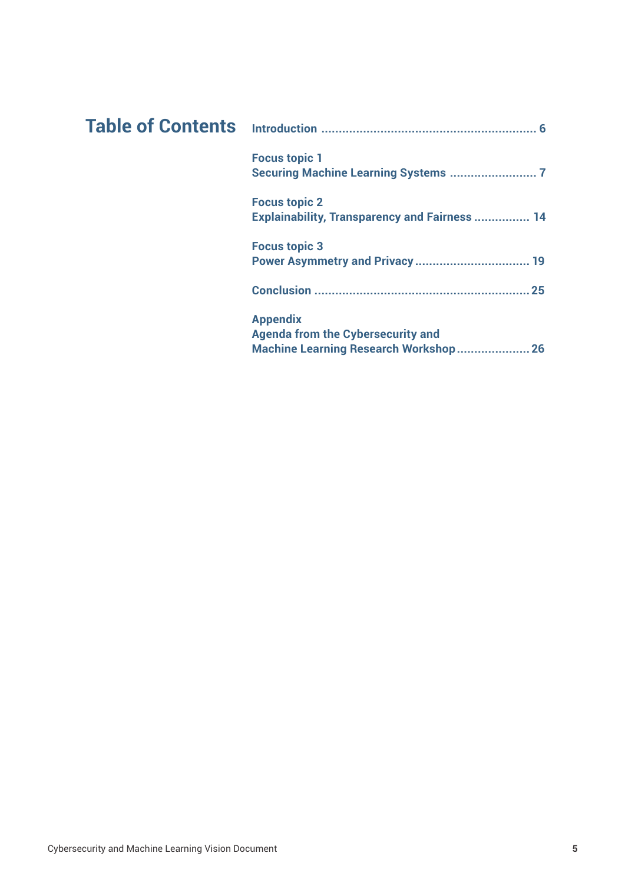| <b>Focus topic 1</b>                                                                                           |
|----------------------------------------------------------------------------------------------------------------|
| <b>Focus topic 2</b><br><b>Explainability, Transparency and Fairness  14</b>                                   |
| <b>Focus topic 3</b>                                                                                           |
| 25                                                                                                             |
| <b>Appendix</b><br><b>Agenda from the Cybersecurity and</b><br><b>Machine Learning Research Workshop</b><br>26 |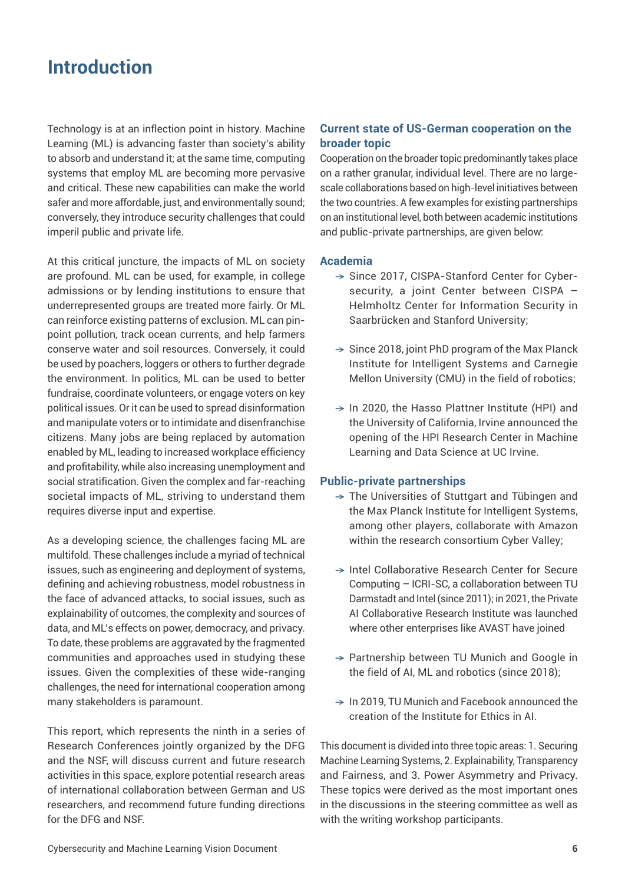## **Introduction**

Technology is at an inflection point in history. Machine Learning (ML) is advancing faster than society's ability to absorb and understand it; at the same time, computing systems that employ ML are becoming more pervasive and critical. These new capabilities can make the world safer and more affordable, just, and environmentally sound; conversely, they introduce security challenges that could imperil public and private life.

At this critical juncture, the impacts of ML on society are profound. ML can be used, for example, in college admissions or by lending institutions to ensure that underrepresented groups are treated more fairly. Or ML can reinforce existing patterns of exclusion. ML can pinpoint pollution, track ocean currents, and help farmers conserve water and soil resources. Conversely, it could be used by poachers, loggers or others to further degrade the environment. In politics, ML can be used to better fundraise, coordinate volunteers, or engage voters on key political issues. Or it can be used to spread disinformation and manipulate voters or to intimidate and disenfranchise citizens. Many jobs are being replaced by automation enabled by ML, leading to increased workplace efficiency and profitability, while also increasing unemployment and social stratification. Given the complex and far-reaching societal impacts of ML, striving to understand them requires diverse input and expertise.

As a developing science, the challenges facing ML are multifold. These challenges include a myriad of technical issues, such as engineering and deployment of systems, defining and achieving robustness, model robustness in the face of advanced attacks, to social issues, such as explainability of outcomes, the complexity and sources of data, and ML's effects on power, democracy, and privacy. To date, these problems are aggravated by the fragmented communities and approaches used in studying these issues. Given the complexities of these wide-ranging challenges, the need for international cooperation among many stakeholders is paramount.

This report, which represents the ninth in a series of Research Conferences jointly organized by the DFG and the NSF, will discuss current and future research activities in this space, explore potential research areas of international collaboration between German and US researchers, and recommend future funding directions for the DFG and NSF.

#### **Current state of US-German cooperation on the broader topic**

Cooperation on the broader topic predominantly takes place on a rather granular, individual level. There are no largescale collaborations based on high-level initiatives between the two countries. A few examples for existing partnerships on an institutional level, both between academic institutions and public-private partnerships, are given below:

#### **Academia**

- → Since 2017, CISPA-Stanford Center for Cybersecurity, a joint Center between CISPA – Helmholtz Center for Information Security in Saarbrücken and Stanford University;
- $\rightarrow$  Since 2018, joint PhD program of the Max Planck Institute for Intelligent Systems and Carnegie Mellon University (CMU) in the field of robotics;
- $\rightarrow$  In 2020, the Hasso Plattner Institute (HPI) and the University of California, Irvine announced the opening of the HPI Research Center in Machine Learning and Data Science at UC Irvine.

#### **Public-private partnerships**

- $\rightarrow$  The Universities of Stuttgart and Tübingen and the Max PIanck Institute for Intelligent Systems, among other players, collaborate with Amazon within the research consortium Cyber Valley;
- → Intel Collaborative Research Center for Secure Computing – ICRI-SC, a collaboration between TU Darmstadt and Intel (since 2011); in 2021, the Private AI Collaborative Research Institute was launched where other enterprises like AVAST have joined
- → Partnership between TU Munich and Google in the field of AI, ML and robotics (since 2018);
- $\rightarrow$  In 2019. TU Munich and Facebook announced the creation of the Institute for Ethics in AI.

This document is divided into three topic areas: 1. Securing Machine Learning Systems, 2. Explainability, Transparency and Fairness, and 3. Power Asymmetry and Privacy. These topics were derived as the most important ones in the discussions in the steering committee as well as with the writing workshop participants.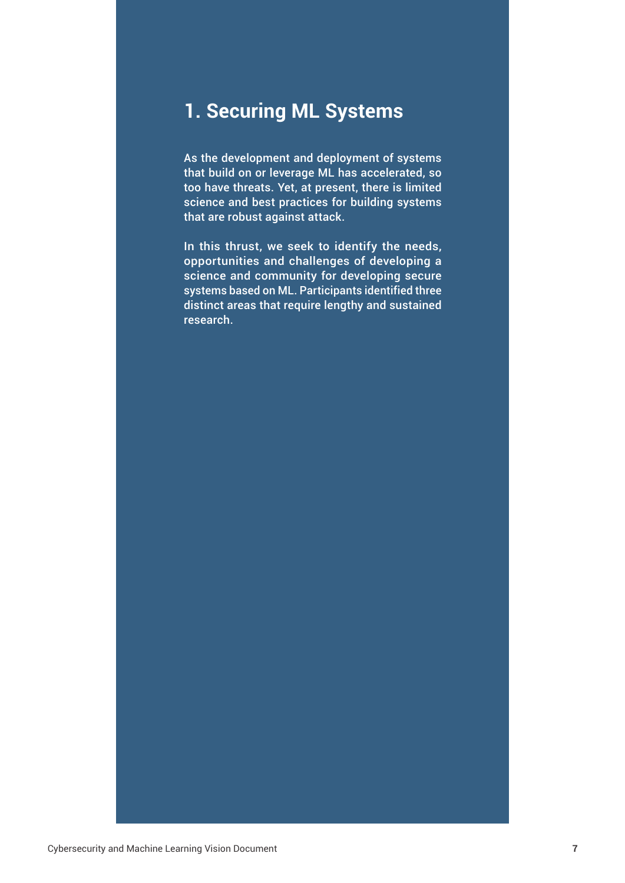# **1. Securing ML Systems**

As the development and deployment of systems that build on or leverage ML has accelerated, so too have threats. Yet, at present, there is limited science and best practices for building systems that are robust against attack.

In this thrust, we seek to identify the needs, opportunities and challenges of developing a science and community for developing secure systems based on ML. Participants identified three distinct areas that require lengthy and sustained research.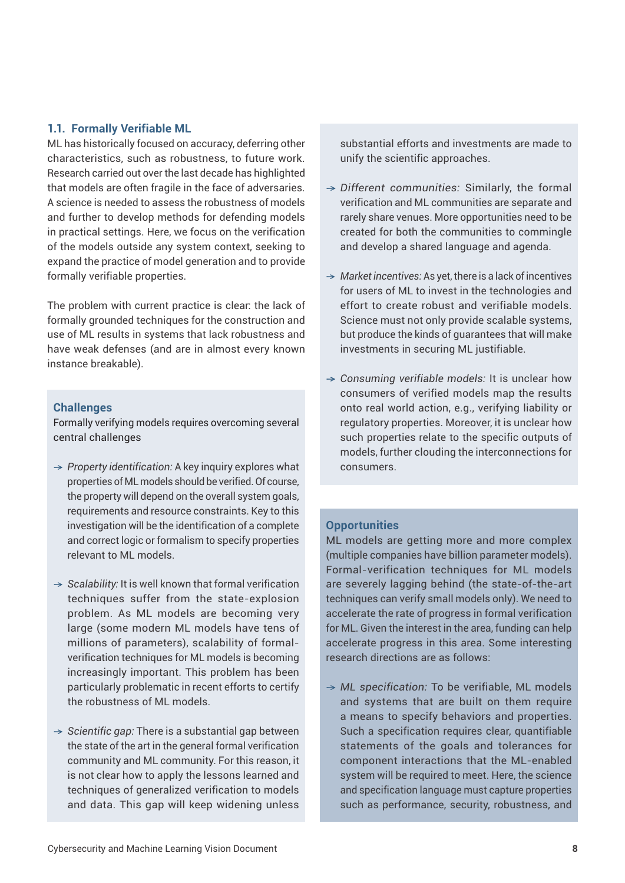#### **1.1. Formally Verifiable ML**

ML has historically focused on accuracy, deferring other characteristics, such as robustness, to future work. Research carried out over the last decade has highlighted that models are often fragile in the face of adversaries. A science is needed to assess the robustness of models and further to develop methods for defending models in practical settings. Here, we focus on the verification of the models outside any system context, seeking to expand the practice of model generation and to provide formally verifiable properties.

The problem with current practice is clear: the lack of formally grounded techniques for the construction and use of ML results in systems that lack robustness and have weak defenses (and are in almost every known instance breakable).

#### **Challenges**

Formally verifying models requires overcoming several central challenges

- → *Property identification:* A key inquiry explores what properties of ML models should be verified. Of course, the property will depend on the overall system goals, requirements and resource constraints. Key to this investigation will be the identification of a complete and correct logic or formalism to specify properties relevant to ML models.
- → *Scalability:* It is well known that formal verification techniques suffer from the state-explosion problem. As ML models are becoming very large (some modern ML models have tens of millions of parameters), scalability of formalverification techniques for ML models is becoming increasingly important. This problem has been particularly problematic in recent efforts to certify the robustness of ML models.
- → *Scientific gap:* There is a substantial gap between the state of the art in the general formal verification community and ML community. For this reason, it is not clear how to apply the lessons learned and techniques of generalized verification to models and data. This gap will keep widening unless

substantial efforts and investments are made to unify the scientific approaches.

- → *Different communities:* Similarly, the formal verification and ML communities are separate and rarely share venues. More opportunities need to be created for both the communities to commingle and develop a shared language and agenda.
- → *Market incentives:* As yet, there is a lack of incentives for users of ML to invest in the technologies and effort to create robust and verifiable models. Science must not only provide scalable systems, but produce the kinds of guarantees that will make investments in securing ML justifiable.
- → *Consuming verifiable models:* It is unclear how consumers of verified models map the results onto real world action, e.g., verifying liability or regulatory properties. Moreover, it is unclear how such properties relate to the specific outputs of models, further clouding the interconnections for consumers.

#### **Opportunities**

ML models are getting more and more complex (multiple companies have billion parameter models). Formal-verification techniques for ML models are severely lagging behind (the state-of-the-art techniques can verify small models only). We need to accelerate the rate of progress in formal verification for ML. Given the interest in the area, funding can help accelerate progress in this area. Some interesting research directions are as follows:

→ *ML specification:* To be verifiable, ML models and systems that are built on them require a means to specify behaviors and properties. Such a specification requires clear, quantifiable statements of the goals and tolerances for component interactions that the ML-enabled system will be required to meet. Here, the science and specification language must capture properties such as performance, security, robustness, and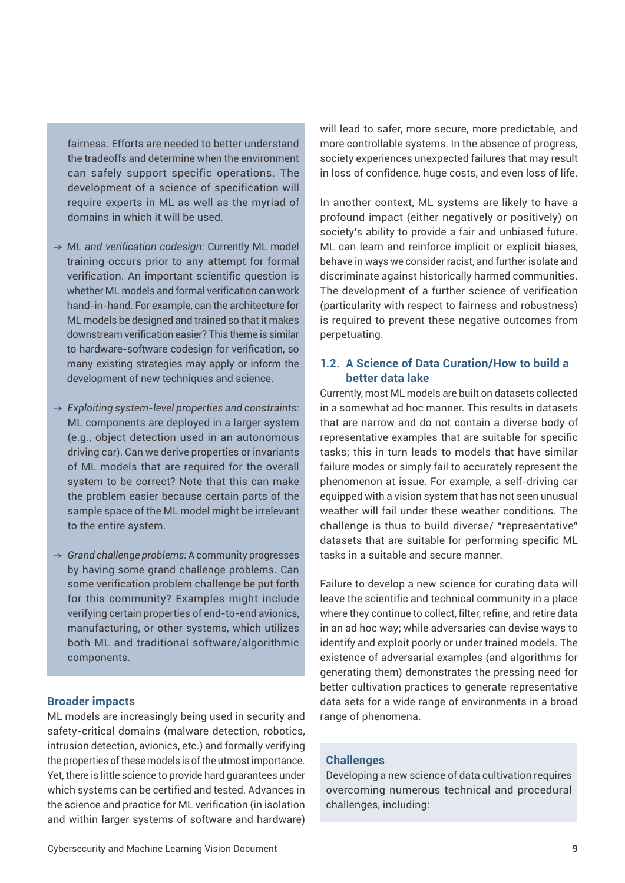fairness. Efforts are needed to better understand the tradeoffs and determine when the environment can safely support specific operations. The development of a science of specification will require experts in ML as well as the myriad of domains in which it will be used.

- → *ML and verification codesign:* Currently ML model training occurs prior to any attempt for formal verification. An important scientific question is whether ML models and formal verification can work hand-in-hand. For example, can the architecture for ML models be designed and trained so that it makes downstream verification easier? This theme is similar to hardware-software codesign for verification, so many existing strategies may apply or inform the development of new techniques and science.
- → *Exploiting system-level properties and constraints:* ML components are deployed in a larger system (e.g., object detection used in an autonomous driving car). Can we derive properties or invariants of ML models that are required for the overall system to be correct? Note that this can make the problem easier because certain parts of the sample space of the ML model might be irrelevant to the entire system.
- → *Grand challenge problems:* A community progresses by having some grand challenge problems. Can some verification problem challenge be put forth for this community? Examples might include verifying certain properties of end-to-end avionics, manufacturing, or other systems, which utilizes both ML and traditional software/algorithmic components.

#### **Broader impacts**

ML models are increasingly being used in security and safety-critical domains (malware detection, robotics, intrusion detection, avionics, etc.) and formally verifying the properties of these models is of the utmost importance. Yet, there is little science to provide hard guarantees under which systems can be certified and tested. Advances in the science and practice for ML verification (in isolation and within larger systems of software and hardware) will lead to safer, more secure, more predictable, and more controllable systems. In the absence of progress, society experiences unexpected failures that may result in loss of confidence, huge costs, and even loss of life.

In another context, ML systems are likely to have a profound impact (either negatively or positively) on society's ability to provide a fair and unbiased future. ML can learn and reinforce implicit or explicit biases, behave in ways we consider racist, and further isolate and discriminate against historically harmed communities. The development of a further science of verification (particularity with respect to fairness and robustness) is required to prevent these negative outcomes from perpetuating.

#### **1.2. A Science of Data Curation/How to build a better data lake**

Currently, most ML models are built on datasets collected in a somewhat ad hoc manner. This results in datasets that are narrow and do not contain a diverse body of representative examples that are suitable for specific tasks; this in turn leads to models that have similar failure modes or simply fail to accurately represent the phenomenon at issue. For example, a self-driving car equipped with a vision system that has not seen unusual weather will fail under these weather conditions. The challenge is thus to build diverse/ "representative" datasets that are suitable for performing specific ML tasks in a suitable and secure manner.

Failure to develop a new science for curating data will leave the scientific and technical community in a place where they continue to collect, filter, refine, and retire data in an ad hoc way; while adversaries can devise ways to identify and exploit poorly or under trained models. The existence of adversarial examples (and algorithms for generating them) demonstrates the pressing need for better cultivation practices to generate representative data sets for a wide range of environments in a broad range of phenomena.

#### **Challenges**

Developing a new science of data cultivation requires overcoming numerous technical and procedural challenges, including: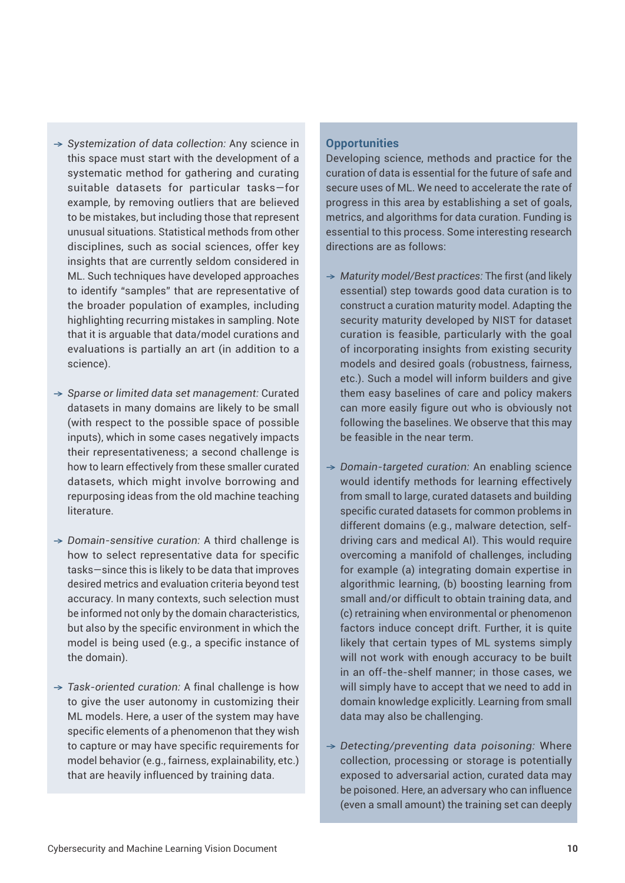- → *Systemization of data collection:* Any science in this space must start with the development of a systematic method for gathering and curating suitable datasets for particular tasks—for example, by removing outliers that are believed to be mistakes, but including those that represent unusual situations. Statistical methods from other disciplines, such as social sciences, offer key insights that are currently seldom considered in ML. Such techniques have developed approaches to identify "samples" that are representative of the broader population of examples, including highlighting recurring mistakes in sampling. Note that it is arguable that data/model curations and evaluations is partially an art (in addition to a science).
- → *Sparse or limited data set management:* Curated datasets in many domains are likely to be small (with respect to the possible space of possible inputs), which in some cases negatively impacts their representativeness; a second challenge is how to learn effectively from these smaller curated datasets, which might involve borrowing and repurposing ideas from the old machine teaching literature.
- → *Domain-sensitive curation:* A third challenge is how to select representative data for specific tasks—since this is likely to be data that improves desired metrics and evaluation criteria beyond test accuracy. In many contexts, such selection must be informed not only by the domain characteristics, but also by the specific environment in which the model is being used (e.g., a specific instance of the domain).
- → *Task-oriented curation:* A final challenge is how to give the user autonomy in customizing their ML models. Here, a user of the system may have specific elements of a phenomenon that they wish to capture or may have specific requirements for model behavior (e.g., fairness, explainability, etc.) that are heavily influenced by training data.

#### **Opportunities**

Developing science, methods and practice for the curation of data is essential for the future of safe and secure uses of ML. We need to accelerate the rate of progress in this area by establishing a set of goals, metrics, and algorithms for data curation. Funding is essential to this process. Some interesting research directions are as follows:

- → *Maturity model/Best practices:* The first (and likely essential) step towards good data curation is to construct a curation maturity model. Adapting the security maturity developed by NIST for dataset curation is feasible, particularly with the goal of incorporating insights from existing security models and desired goals (robustness, fairness, etc.). Such a model will inform builders and give them easy baselines of care and policy makers can more easily figure out who is obviously not following the baselines. We observe that this may be feasible in the near term.
- → *Domain-targeted curation:* An enabling science would identify methods for learning effectively from small to large, curated datasets and building specific curated datasets for common problems in different domains (e.g., malware detection, selfdriving cars and medical AI). This would require overcoming a manifold of challenges, including for example (a) integrating domain expertise in algorithmic learning, (b) boosting learning from small and/or difficult to obtain training data, and (c) retraining when environmental or phenomenon factors induce concept drift. Further, it is quite likely that certain types of ML systems simply will not work with enough accuracy to be built in an off-the-shelf manner; in those cases, we will simply have to accept that we need to add in domain knowledge explicitly. Learning from small data may also be challenging.
- → *Detecting/preventing data poisoning:* Where collection, processing or storage is potentially exposed to adversarial action, curated data may be poisoned. Here, an adversary who can influence (even a small amount) the training set can deeply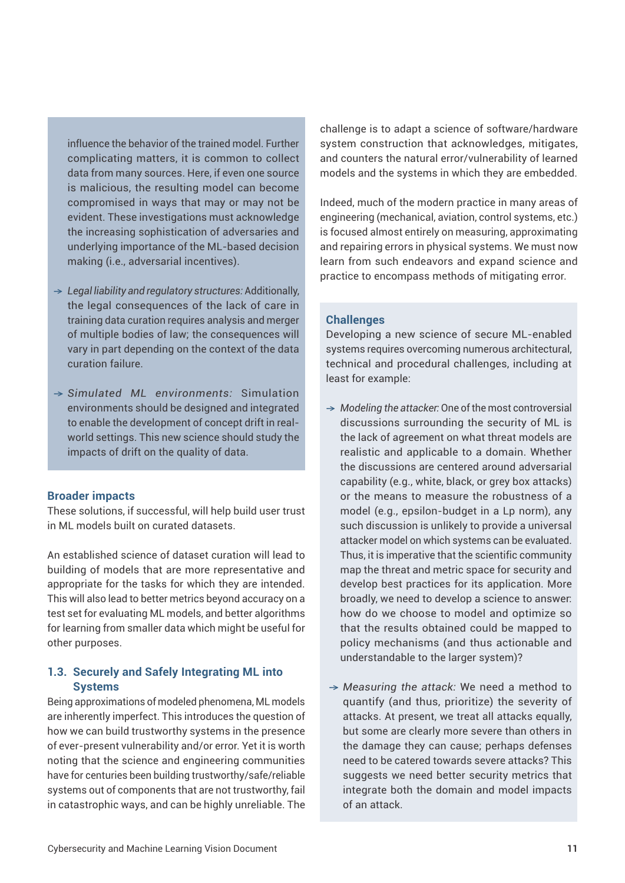influence the behavior of the trained model. Further complicating matters, it is common to collect data from many sources. Here, if even one source is malicious, the resulting model can become compromised in ways that may or may not be evident. These investigations must acknowledge the increasing sophistication of adversaries and underlying importance of the ML-based decision making (i.e., adversarial incentives).

- → *Legal liability and regulatory structures:* Additionally, the legal consequences of the lack of care in training data curation requires analysis and merger of multiple bodies of law; the consequences will vary in part depending on the context of the data curation failure.
- → *Simulated ML environments:* Simulation environments should be designed and integrated to enable the development of concept drift in realworld settings. This new science should study the impacts of drift on the quality of data.

#### **Broader impacts**

These solutions, if successful, will help build user trust in ML models built on curated datasets.

An established science of dataset curation will lead to building of models that are more representative and appropriate for the tasks for which they are intended. This will also lead to better metrics beyond accuracy on a test set for evaluating ML models, and better algorithms for learning from smaller data which might be useful for other purposes.

#### **1.3. Securely and Safely Integrating ML into Systems**

Being approximations of modeled phenomena, ML models are inherently imperfect. This introduces the question of how we can build trustworthy systems in the presence of ever-present vulnerability and/or error. Yet it is worth noting that the science and engineering communities have for centuries been building trustworthy/safe/reliable systems out of components that are not trustworthy, fail in catastrophic ways, and can be highly unreliable. The

challenge is to adapt a science of software/hardware system construction that acknowledges, mitigates, and counters the natural error/vulnerability of learned models and the systems in which they are embedded.

Indeed, much of the modern practice in many areas of engineering (mechanical, aviation, control systems, etc.) is focused almost entirely on measuring, approximating and repairing errors in physical systems. We must now learn from such endeavors and expand science and practice to encompass methods of mitigating error.

#### **Challenges**

Developing a new science of secure ML-enabled systems requires overcoming numerous architectural, technical and procedural challenges, including at least for example:

- → *Modeling the attacker:* One of the most controversial discussions surrounding the security of ML is the lack of agreement on what threat models are realistic and applicable to a domain. Whether the discussions are centered around adversarial capability (e.g., white, black, or grey box attacks) or the means to measure the robustness of a model (e.g., epsilon-budget in a Lp norm), any such discussion is unlikely to provide a universal attacker model on which systems can be evaluated. Thus, it is imperative that the scientific community map the threat and metric space for security and develop best practices for its application. More broadly, we need to develop a science to answer: how do we choose to model and optimize so that the results obtained could be mapped to policy mechanisms (and thus actionable and understandable to the larger system)?
- → *Measuring the attack:* We need a method to quantify (and thus, prioritize) the severity of attacks. At present, we treat all attacks equally, but some are clearly more severe than others in the damage they can cause; perhaps defenses need to be catered towards severe attacks? This suggests we need better security metrics that integrate both the domain and model impacts of an attack.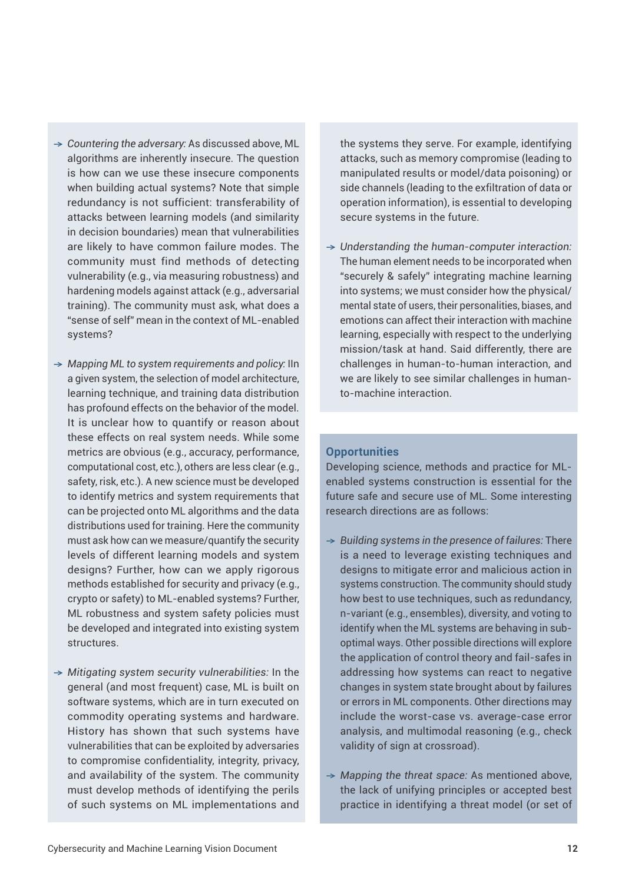designs? Further, how can we apply rigorous methods established for security and privacy (e.g., crypto or safety) to ML-enabled systems? Further, ML robustness and system safety policies must be developed and integrated into existing system structures. → *Mitigating system security vulnerabilities:* In the

systems?

→ *Countering the adversary:* As discussed above, ML algorithms are inherently insecure. The question is how can we use these insecure components when building actual systems? Note that simple redundancy is not sufficient: transferability of attacks between learning models (and similarity in decision boundaries) mean that vulnerabilities are likely to have common failure modes. The community must find methods of detecting vulnerability (e.g., via measuring robustness) and hardening models against attack (e.g., adversarial training). The community must ask, what does a "sense of self" mean in the context of ML-enabled

→ *Mapping ML to system requirements and policy:* IIn a given system, the selection of model architecture, learning technique, and training data distribution has profound effects on the behavior of the model. It is unclear how to quantify or reason about these effects on real system needs. While some metrics are obvious (e.g., accuracy, performance, computational cost, etc.), others are less clear (e.g., safety, risk, etc.). A new science must be developed to identify metrics and system requirements that can be projected onto ML algorithms and the data distributions used for training. Here the community must ask how can we measure/quantify the security levels of different learning models and system

general (and most frequent) case, ML is built on software systems, which are in turn executed on commodity operating systems and hardware. History has shown that such systems have vulnerabilities that can be exploited by adversaries to compromise confidentiality, integrity, privacy, and availability of the system. The community must develop methods of identifying the perils of such systems on ML implementations and the systems they serve. For example, identifying attacks, such as memory compromise (leading to manipulated results or model/data poisoning) or side channels (leading to the exfiltration of data or operation information), is essential to developing secure systems in the future.

→ *Understanding the human-computer interaction:* The human element needs to be incorporated when "securely & safely" integrating machine learning into systems; we must consider how the physical/ mental state of users, their personalities, biases, and emotions can affect their interaction with machine learning, especially with respect to the underlying mission/task at hand. Said differently, there are challenges in human-to-human interaction, and we are likely to see similar challenges in humanto-machine interaction.

#### **Opportunities**

Developing science, methods and practice for MLenabled systems construction is essential for the future safe and secure use of ML. Some interesting research directions are as follows:

- → *Building systems in the presence of failures:* There is a need to leverage existing techniques and designs to mitigate error and malicious action in systems construction. The community should study how best to use techniques, such as redundancy, n-variant (e.g., ensembles), diversity, and voting to identify when the ML systems are behaving in suboptimal ways. Other possible directions will explore the application of control theory and fail-safes in addressing how systems can react to negative changes in system state brought about by failures or errors in ML components. Other directions may include the worst-case vs. average-case error analysis, and multimodal reasoning (e.g., check validity of sign at crossroad).
- → *Mapping the threat space:* As mentioned above, the lack of unifying principles or accepted best practice in identifying a threat model (or set of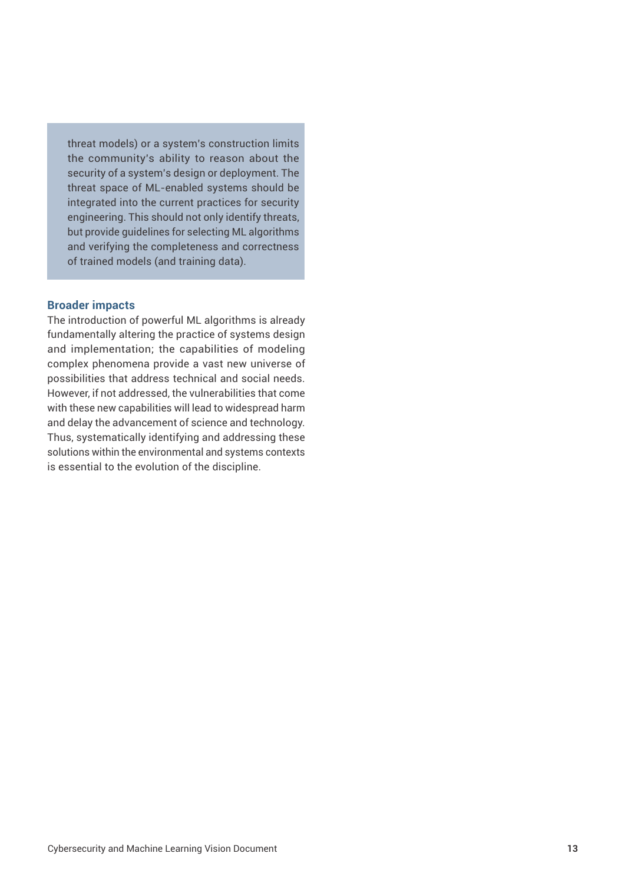threat models) or a system's construction limits the community's ability to reason about the security of a system's design or deployment. The threat space of ML-enabled systems should be integrated into the current practices for security engineering. This should not only identify threats, but provide guidelines for selecting ML algorithms and verifying the completeness and correctness of trained models (and training data).

#### **Broader impacts**

The introduction of powerful ML algorithms is already fundamentally altering the practice of systems design and implementation; the capabilities of modeling complex phenomena provide a vast new universe of possibilities that address technical and social needs. However, if not addressed, the vulnerabilities that come with these new capabilities will lead to widespread harm and delay the advancement of science and technology. Thus, systematically identifying and addressing these solutions within the environmental and systems contexts is essential to the evolution of the discipline.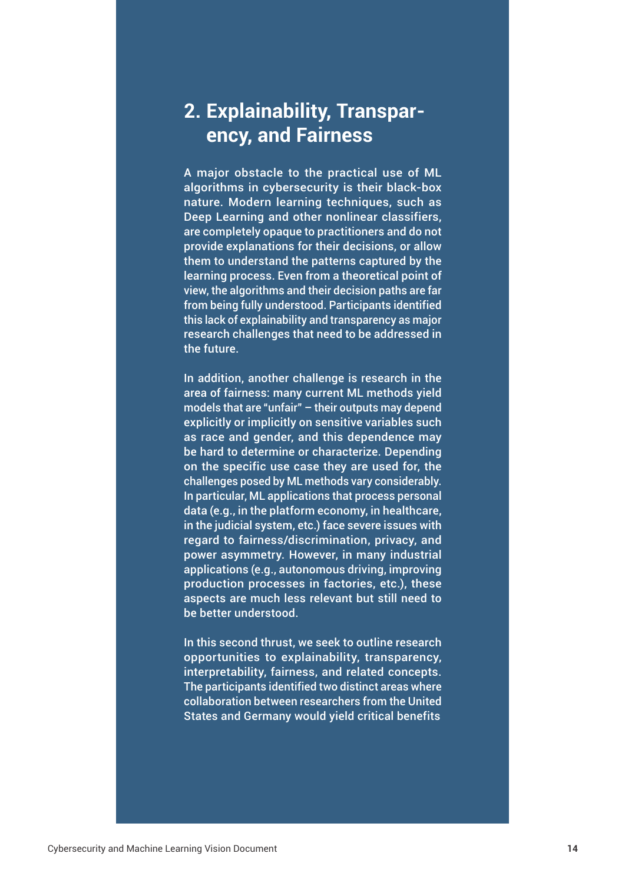# **2. Explainability, Transparency, and Fairness**

A major obstacle to the practical use of ML algorithms in cybersecurity is their black-box nature. Modern learning techniques, such as Deep Learning and other nonlinear classifiers, are completely opaque to practitioners and do not provide explanations for their decisions, or allow them to understand the patterns captured by the learning process. Even from a theoretical point of view, the algorithms and their decision paths are far from being fully understood. Participants identified this lack of explainability and transparency as major research challenges that need to be addressed in the future.

In addition, another challenge is research in the area of fairness: many current ML methods yield models that are "unfair" – their outputs may depend explicitly or implicitly on sensitive variables such as race and gender, and this dependence may be hard to determine or characterize. Depending on the specific use case they are used for, the challenges posed by ML methods vary considerably. In particular, ML applications that process personal data (e.g., in the platform economy, in healthcare, in the judicial system, etc.) face severe issues with regard to fairness/discrimination, privacy, and power asymmetry. However, in many industrial applications (e.g., autonomous driving, improving production processes in factories, etc.), these aspects are much less relevant but still need to be better understood.

In this second thrust, we seek to outline research opportunities to explainability, transparency, interpretability, fairness, and related concepts. The participants identified two distinct areas where collaboration between researchers from the United States and Germany would yield critical benefits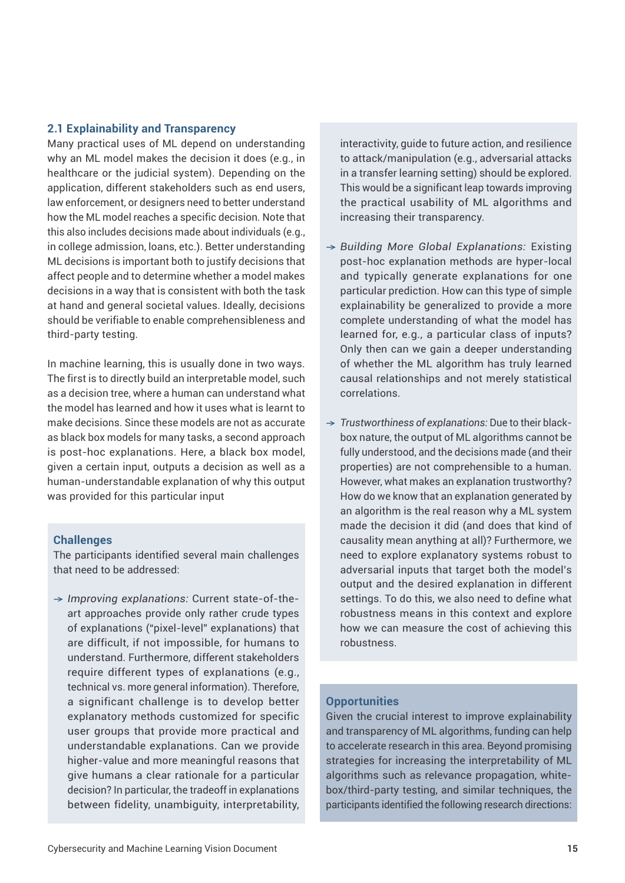#### **2.1 Explainability and Transparency**

Many practical uses of ML depend on understanding why an ML model makes the decision it does (e.g., in healthcare or the judicial system). Depending on the application, different stakeholders such as end users, law enforcement, or designers need to better understand how the ML model reaches a specific decision. Note that this also includes decisions made about individuals (e.g., in college admission, loans, etc.). Better understanding ML decisions is important both to justify decisions that affect people and to determine whether a model makes decisions in a way that is consistent with both the task at hand and general societal values. Ideally, decisions should be verifiable to enable comprehensibleness and third-party testing.

In machine learning, this is usually done in two ways. The first is to directly build an interpretable model, such as a decision tree, where a human can understand what the model has learned and how it uses what is learnt to make decisions. Since these models are not as accurate as black box models for many tasks, a second approach is post-hoc explanations. Here, a black box model, given a certain input, outputs a decision as well as a human-understandable explanation of why this output was provided for this particular input

#### **Challenges**

The participants identified several main challenges that need to be addressed:

→ *Improving explanations:* Current state-of-theart approaches provide only rather crude types of explanations ("pixel-level" explanations) that are difficult, if not impossible, for humans to understand. Furthermore, different stakeholders require different types of explanations (e.g., technical vs. more general information). Therefore, a significant challenge is to develop better explanatory methods customized for specific user groups that provide more practical and understandable explanations. Can we provide higher-value and more meaningful reasons that give humans a clear rationale for a particular decision? In particular, the tradeoff in explanations between fidelity, unambiguity, interpretability,

interactivity, guide to future action, and resilience to attack/manipulation (e.g., adversarial attacks in a transfer learning setting) should be explored. This would be a significant leap towards improving the practical usability of ML algorithms and increasing their transparency.

- → *Building More Global Explanations:* Existing post-hoc explanation methods are hyper-local and typically generate explanations for one particular prediction. How can this type of simple explainability be generalized to provide a more complete understanding of what the model has learned for, e.g., a particular class of inputs? Only then can we gain a deeper understanding of whether the ML algorithm has truly learned causal relationships and not merely statistical correlations.
- → *Trustworthiness of explanations:* Due to their blackbox nature, the output of ML algorithms cannot be fully understood, and the decisions made (and their properties) are not comprehensible to a human. However, what makes an explanation trustworthy? How do we know that an explanation generated by an algorithm is the real reason why a ML system made the decision it did (and does that kind of causality mean anything at all)? Furthermore, we need to explore explanatory systems robust to adversarial inputs that target both the model's output and the desired explanation in different settings. To do this, we also need to define what robustness means in this context and explore how we can measure the cost of achieving this robustness.

#### **Opportunities**

Given the crucial interest to improve explainability and transparency of ML algorithms, funding can help to accelerate research in this area. Beyond promising strategies for increasing the interpretability of ML algorithms such as relevance propagation, whitebox/third-party testing, and similar techniques, the participants identified the following research directions: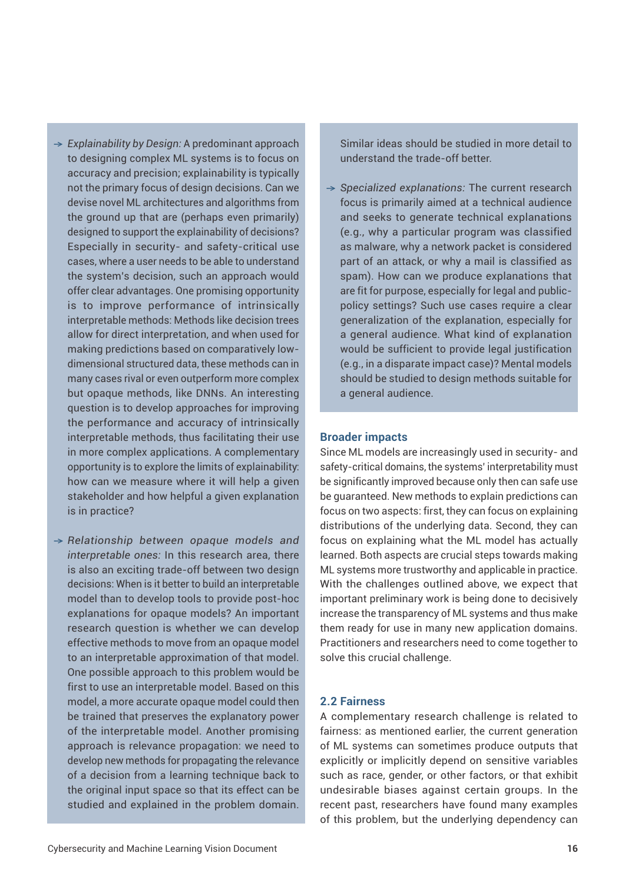- → *Explainability by Design:* A predominant approach to designing complex ML systems is to focus on accuracy and precision; explainability is typically not the primary focus of design decisions. Can we devise novel ML architectures and algorithms from the ground up that are (perhaps even primarily) designed to support the explainability of decisions? Especially in security- and safety-critical use cases, where a user needs to be able to understand the system's decision, such an approach would offer clear advantages. One promising opportunity is to improve performance of intrinsically interpretable methods: Methods like decision trees allow for direct interpretation, and when used for making predictions based on comparatively lowdimensional structured data, these methods can in many cases rival or even outperform more complex but opaque methods, like DNNs. An interesting question is to develop approaches for improving the performance and accuracy of intrinsically interpretable methods, thus facilitating their use in more complex applications. A complementary opportunity is to explore the limits of explainability: how can we measure where it will help a given stakeholder and how helpful a given explanation is in practice?
- → *Relationship between opaque models and interpretable ones:* In this research area, there is also an exciting trade-off between two design decisions: When is it better to build an interpretable model than to develop tools to provide post-hoc explanations for opaque models? An important research question is whether we can develop effective methods to move from an opaque model to an interpretable approximation of that model. One possible approach to this problem would be first to use an interpretable model. Based on this model, a more accurate opaque model could then be trained that preserves the explanatory power of the interpretable model. Another promising approach is relevance propagation: we need to develop new methods for propagating the relevance of a decision from a learning technique back to the original input space so that its effect can be

Similar ideas should be studied in more detail to understand the trade-off better.

→ *Specialized explanations:* The current research focus is primarily aimed at a technical audience and seeks to generate technical explanations (e.g., why a particular program was classified as malware, why a network packet is considered part of an attack, or why a mail is classified as spam). How can we produce explanations that are fit for purpose, especially for legal and publicpolicy settings? Such use cases require a clear generalization of the explanation, especially for a general audience. What kind of explanation would be sufficient to provide legal justification (e.g., in a disparate impact case)? Mental models should be studied to design methods suitable for a general audience.

#### **Broader impacts**

Since ML models are increasingly used in security- and safety-critical domains, the systems' interpretability must be significantly improved because only then can safe use be guaranteed. New methods to explain predictions can focus on two aspects: first, they can focus on explaining distributions of the underlying data. Second, they can focus on explaining what the ML model has actually learned. Both aspects are crucial steps towards making ML systems more trustworthy and applicable in practice. With the challenges outlined above, we expect that important preliminary work is being done to decisively increase the transparency of ML systems and thus make them ready for use in many new application domains. Practitioners and researchers need to come together to solve this crucial challenge.

#### **2.2 Fairness**

A complementary research challenge is related to fairness: as mentioned earlier, the current generation of ML systems can sometimes produce outputs that explicitly or implicitly depend on sensitive variables such as race, gender, or other factors, or that exhibit undesirable biases against certain groups. In the recent past, researchers have found many examples of this problem, but the underlying dependency can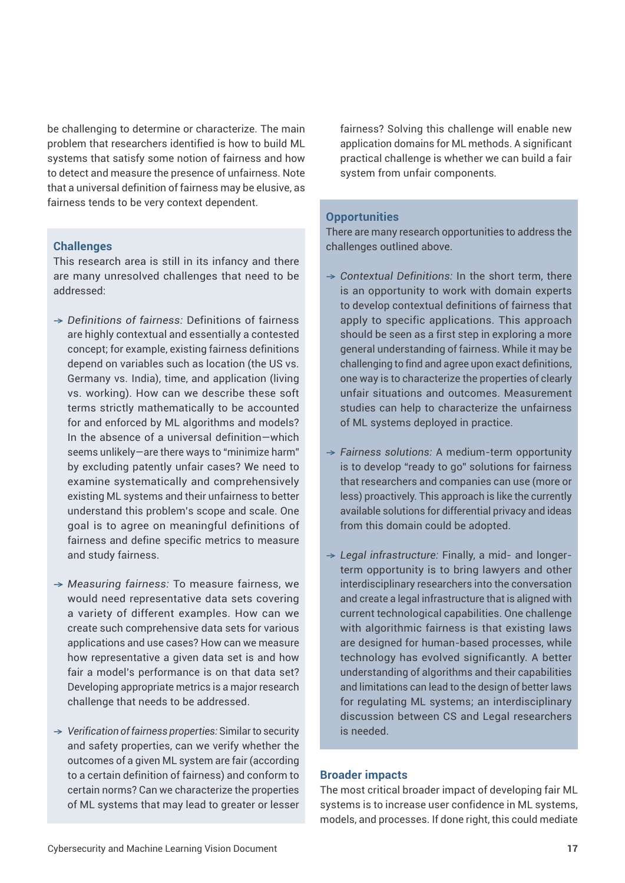be challenging to determine or characterize. The main problem that researchers identified is how to build ML systems that satisfy some notion of fairness and how to detect and measure the presence of unfairness. Note that a universal definition of fairness may be elusive, as fairness tends to be very context dependent.

#### **Challenges**

This research area is still in its infancy and there are many unresolved challenges that need to be addressed:

- → *Definitions of fairness:* Definitions of fairness are highly contextual and essentially a contested concept; for example, existing fairness definitions depend on variables such as location (the US vs. Germany vs. India), time, and application (living vs. working). How can we describe these soft terms strictly mathematically to be accounted for and enforced by ML algorithms and models? In the absence of a universal definition—which seems unlikely—are there ways to "minimize harm" by excluding patently unfair cases? We need to examine systematically and comprehensively existing ML systems and their unfairness to better understand this problem's scope and scale. One goal is to agree on meaningful definitions of fairness and define specific metrics to measure and study fairness.
- → *Measuring fairness:* To measure fairness, we would need representative data sets covering a variety of different examples. How can we create such comprehensive data sets for various applications and use cases? How can we measure how representative a given data set is and how fair a model's performance is on that data set? Developing appropriate metrics is a major research challenge that needs to be addressed.
- → *Verification of fairness properties:* Similar to security and safety properties, can we verify whether the outcomes of a given ML system are fair (according to a certain definition of fairness) and conform to certain norms? Can we characterize the properties of ML systems that may lead to greater or lesser

fairness? Solving this challenge will enable new application domains for ML methods. A significant practical challenge is whether we can build a fair system from unfair components*.*

#### **Opportunities**

There are many research opportunities to address the challenges outlined above.

- → *Contextual Definitions:* In the short term, there is an opportunity to work with domain experts to develop contextual definitions of fairness that apply to specific applications. This approach should be seen as a first step in exploring a more general understanding of fairness. While it may be challenging to find and agree upon exact definitions, one way is to characterize the properties of clearly unfair situations and outcomes. Measurement studies can help to characterize the unfairness of ML systems deployed in practice.
- → *Fairness solutions:* A medium-term opportunity is to develop "ready to go" solutions for fairness that researchers and companies can use (more or less) proactively. This approach is like the currently available solutions for differential privacy and ideas from this domain could be adopted.
- → *Legal infrastructure:* Finally, a mid- and longerterm opportunity is to bring lawyers and other interdisciplinary researchers into the conversation and create a legal infrastructure that is aligned with current technological capabilities. One challenge with algorithmic fairness is that existing laws are designed for human-based processes, while technology has evolved significantly. A better understanding of algorithms and their capabilities and limitations can lead to the design of better laws for regulating ML systems; an interdisciplinary discussion between CS and Legal researchers is needed.

#### **Broader impacts**

The most critical broader impact of developing fair ML systems is to increase user confidence in ML systems, models, and processes. If done right, this could mediate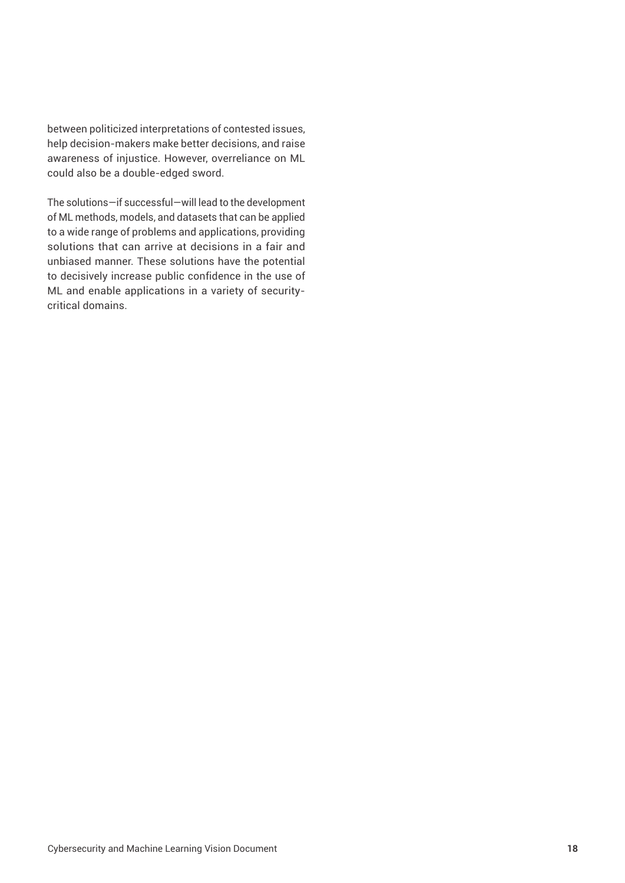between politicized interpretations of contested issues, help decision-makers make better decisions, and raise awareness of injustice. However, overreliance on ML could also be a double-edged sword.

The solutions—if successful—will lead to the development of ML methods, models, and datasets that can be applied to a wide range of problems and applications, providing solutions that can arrive at decisions in a fair and unbiased manner. These solutions have the potential to decisively increase public confidence in the use of ML and enable applications in a variety of securitycritical domains.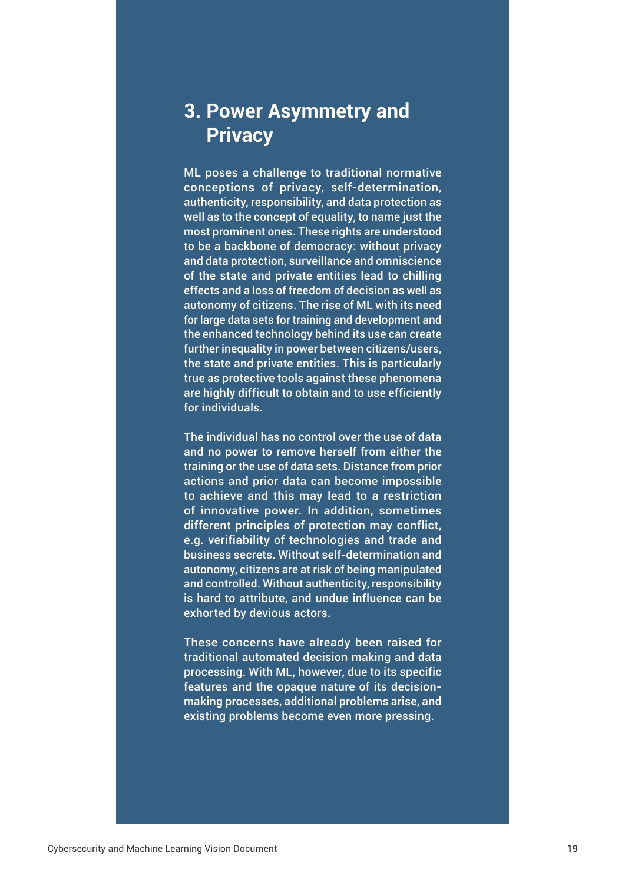# **3. Power Asymmetry and Privacy**

ML poses a challenge to traditional normative conceptions of privacy, self-determination, authenticity, responsibility, and data protection as well as to the concept of equality, to name just the most prominent ones. These rights are understood to be a backbone of democracy: without privacy and data protection, surveillance and omniscience of the state and private entities lead to chilling effects and a loss of freedom of decision as well as autonomy of citizens. The rise of ML with its need for large data sets for training and development and the enhanced technology behind its use can create further inequality in power between citizens/users, the state and private entities. This is particularly true as protective tools against these phenomena are highly difficult to obtain and to use efficiently for individuals.

The individual has no control over the use of data and no power to remove herself from either the training or the use of data sets. Distance from prior actions and prior data can become impossible to achieve and this may lead to a restriction of innovative power. In addition, sometimes different principles of protection may conflict, e.g. verifiability of technologies and trade and business secrets. Without self-determination and autonomy, citizens are at risk of being manipulated and controlled. Without authenticity, responsibility is hard to attribute, and undue influence can be exhorted by devious actors.

These concerns have already been raised for traditional automated decision making and data processing. With ML, however, due to its specific features and the opaque nature of its decisionmaking processes, additional problems arise, and existing problems become even more pressing.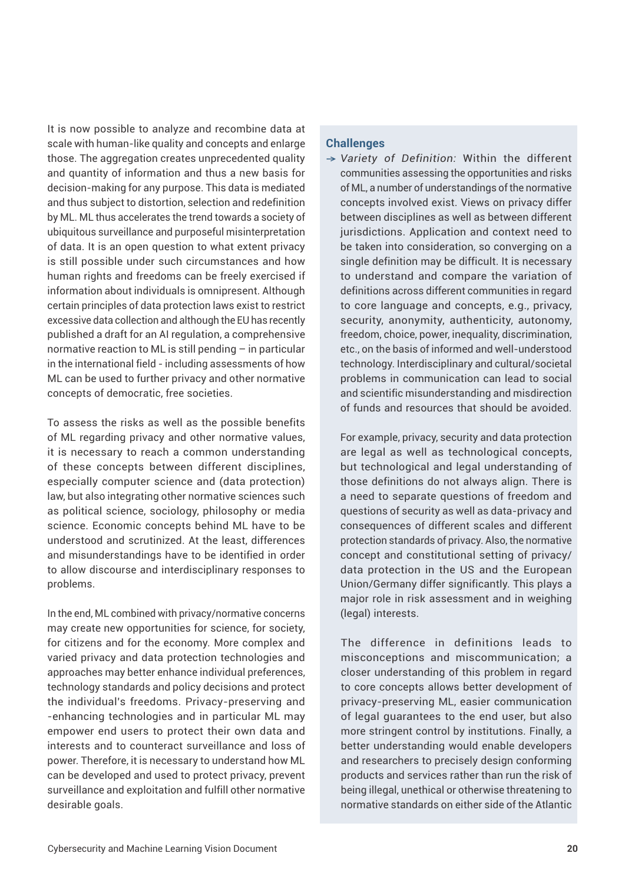It is now possible to analyze and recombine data at scale with human-like quality and concepts and enlarge those. The aggregation creates unprecedented quality and quantity of information and thus a new basis for decision-making for any purpose. This data is mediated and thus subject to distortion, selection and redefinition by ML. ML thus accelerates the trend towards a society of ubiquitous surveillance and purposeful misinterpretation of data. It is an open question to what extent privacy is still possible under such circumstances and how human rights and freedoms can be freely exercised if information about individuals is omnipresent. Although certain principles of data protection laws exist to restrict excessive data collection and although the EU has recently published a draft for an AI regulation, a comprehensive normative reaction to ML is still pending – in particular in the international field - including assessments of how ML can be used to further privacy and other normative concepts of democratic, free societies.

To assess the risks as well as the possible benefits of ML regarding privacy and other normative values, it is necessary to reach a common understanding of these concepts between different disciplines, especially computer science and (data protection) law, but also integrating other normative sciences such as political science, sociology, philosophy or media science. Economic concepts behind ML have to be understood and scrutinized. At the least, differences and misunderstandings have to be identified in order to allow discourse and interdisciplinary responses to problems.

In the end, ML combined with privacy/normative concerns may create new opportunities for science, for society, for citizens and for the economy. More complex and varied privacy and data protection technologies and approaches may better enhance individual preferences, technology standards and policy decisions and protect the individual's freedoms. Privacy-preserving and -enhancing technologies and in particular ML may empower end users to protect their own data and interests and to counteract surveillance and loss of power. Therefore, it is necessary to understand how ML can be developed and used to protect privacy, prevent surveillance and exploitation and fulfill other normative desirable goals.

#### **Challenges**

→ *Variety of Definition:* Within the different communities assessing the opportunities and risks of ML, a number of understandings of the normative concepts involved exist. Views on privacy differ between disciplines as well as between different jurisdictions. Application and context need to be taken into consideration, so converging on a single definition may be difficult. It is necessary to understand and compare the variation of definitions across different communities in regard to core language and concepts, e.g., privacy, security, anonymity, authenticity, autonomy, freedom, choice, power, inequality, discrimination, etc., on the basis of informed and well-understood technology. Interdisciplinary and cultural/societal problems in communication can lead to social and scientific misunderstanding and misdirection of funds and resources that should be avoided.

For example, privacy, security and data protection are legal as well as technological concepts, but technological and legal understanding of those definitions do not always align. There is a need to separate questions of freedom and questions of security as well as data-privacy and consequences of different scales and different protection standards of privacy. Also, the normative concept and constitutional setting of privacy/ data protection in the US and the European Union/Germany differ significantly. This plays a major role in risk assessment and in weighing (legal) interests.

The difference in definitions leads to misconceptions and miscommunication; a closer understanding of this problem in regard to core concepts allows better development of privacy-preserving ML, easier communication of legal guarantees to the end user, but also more stringent control by institutions. Finally, a better understanding would enable developers and researchers to precisely design conforming products and services rather than run the risk of being illegal, unethical or otherwise threatening to normative standards on either side of the Atlantic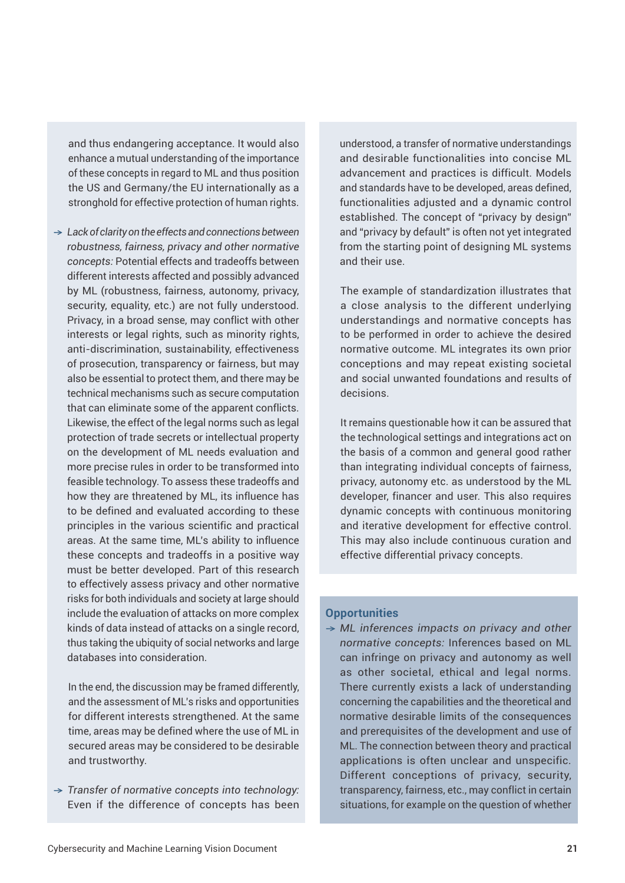and thus endangering acceptance. It would also enhance a mutual understanding of the importance of these concepts in regard to ML and thus position the US and Germany/the EU internationally as a stronghold for effective protection of human rights.

→ *Lack of clarity on the effects and connections between robustness, fairness, privacy and other normative concepts:* Potential effects and tradeoffs between different interests affected and possibly advanced by ML (robustness, fairness, autonomy, privacy, security, equality, etc.) are not fully understood. Privacy, in a broad sense, may conflict with other interests or legal rights, such as minority rights, anti-discrimination, sustainability, effectiveness of prosecution, transparency or fairness, but may also be essential to protect them, and there may be technical mechanisms such as secure computation that can eliminate some of the apparent conflicts. Likewise, the effect of the legal norms such as legal protection of trade secrets or intellectual property on the development of ML needs evaluation and more precise rules in order to be transformed into feasible technology. To assess these tradeoffs and how they are threatened by ML, its influence has to be defined and evaluated according to these principles in the various scientific and practical areas. At the same time, ML's ability to influence these concepts and tradeoffs in a positive way must be better developed. Part of this research to effectively assess privacy and other normative risks for both individuals and society at large should include the evaluation of attacks on more complex kinds of data instead of attacks on a single record, thus taking the ubiquity of social networks and large databases into consideration.

In the end, the discussion may be framed differently, and the assessment of ML's risks and opportunities for different interests strengthened. At the same time, areas may be defined where the use of ML in secured areas may be considered to be desirable and trustworthy.

→ *Transfer of normative concepts into technology:*  Even if the difference of concepts has been understood, a transfer of normative understandings and desirable functionalities into concise ML advancement and practices is difficult. Models and standards have to be developed, areas defined, functionalities adjusted and a dynamic control established. The concept of "privacy by design" and "privacy by default" is often not yet integrated from the starting point of designing ML systems and their use.

The example of standardization illustrates that a close analysis to the different underlying understandings and normative concepts has to be performed in order to achieve the desired normative outcome. ML integrates its own prior conceptions and may repeat existing societal and social unwanted foundations and results of decisions.

It remains questionable how it can be assured that the technological settings and integrations act on the basis of a common and general good rather than integrating individual concepts of fairness, privacy, autonomy etc. as understood by the ML developer, financer and user. This also requires dynamic concepts with continuous monitoring and iterative development for effective control. This may also include continuous curation and effective differential privacy concepts.

#### **Opportunities**

→ *ML inferences impacts on privacy and other normative concepts:* Inferences based on ML can infringe on privacy and autonomy as well as other societal, ethical and legal norms. There currently exists a lack of understanding concerning the capabilities and the theoretical and normative desirable limits of the consequences and prerequisites of the development and use of ML. The connection between theory and practical applications is often unclear and unspecific. Different conceptions of privacy, security, transparency, fairness, etc., may conflict in certain situations, for example on the question of whether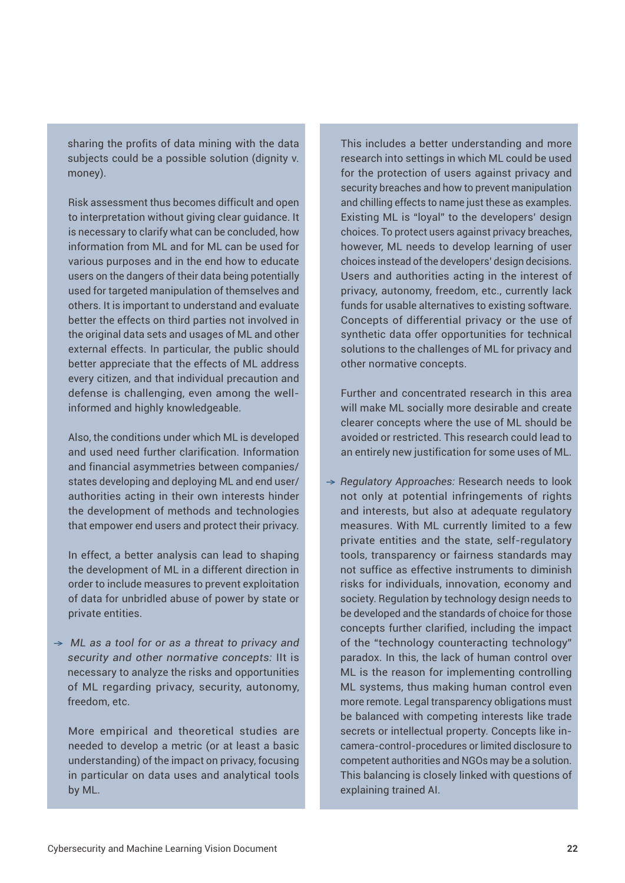sharing the profits of data mining with the data subjects could be a possible solution (dignity v. money).

Risk assessment thus becomes difficult and open to interpretation without giving clear guidance. It is necessary to clarify what can be concluded, how information from ML and for ML can be used for various purposes and in the end how to educate users on the dangers of their data being potentially used for targeted manipulation of themselves and others. It is important to understand and evaluate better the effects on third parties not involved in the original data sets and usages of ML and other external effects. In particular, the public should better appreciate that the effects of ML address every citizen, and that individual precaution and defense is challenging, even among the wellinformed and highly knowledgeable.

Also, the conditions under which ML is developed and used need further clarification. Information and financial asymmetries between companies/ states developing and deploying ML and end user/ authorities acting in their own interests hinder the development of methods and technologies that empower end users and protect their privacy.

In effect, a better analysis can lead to shaping the development of ML in a different direction in order to include measures to prevent exploitation of data for unbridled abuse of power by state or private entities.

→ *ML as a tool for or as a threat to privacy and security and other normative concepts:* IIt is necessary to analyze the risks and opportunities of ML regarding privacy, security, autonomy, freedom, etc.

More empirical and theoretical studies are needed to develop a metric (or at least a basic understanding) of the impact on privacy, focusing in particular on data uses and analytical tools by ML.

This includes a better understanding and more research into settings in which ML could be used for the protection of users against privacy and security breaches and how to prevent manipulation and chilling effects to name just these as examples. Existing ML is "loyal" to the developers' design choices. To protect users against privacy breaches, however, ML needs to develop learning of user choices instead of the developers' design decisions. Users and authorities acting in the interest of privacy, autonomy, freedom, etc., currently lack funds for usable alternatives to existing software. Concepts of differential privacy or the use of synthetic data offer opportunities for technical solutions to the challenges of ML for privacy and other normative concepts.

Further and concentrated research in this area will make ML socially more desirable and create clearer concepts where the use of ML should be avoided or restricted. This research could lead to an entirely new justification for some uses of ML.

→ *Regulatory Approaches:* Research needs to look not only at potential infringements of rights and interests, but also at adequate regulatory measures. With ML currently limited to a few private entities and the state, self-regulatory tools, transparency or fairness standards may not suffice as effective instruments to diminish risks for individuals, innovation, economy and society. Regulation by technology design needs to be developed and the standards of choice for those concepts further clarified, including the impact of the "technology counteracting technology" paradox. In this, the lack of human control over ML is the reason for implementing controlling ML systems, thus making human control even more remote. Legal transparency obligations must be balanced with competing interests like trade secrets or intellectual property. Concepts like incamera-control-procedures or limited disclosure to competent authorities and NGOs may be a solution. This balancing is closely linked with questions of explaining trained AI.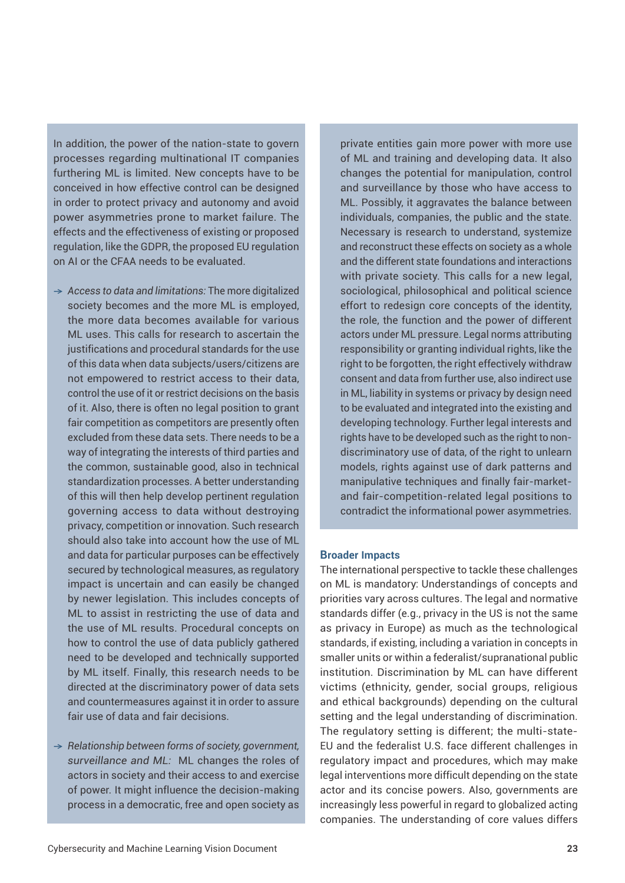In addition, the power of the nation-state to govern processes regarding multinational IT companies furthering ML is limited. New concepts have to be conceived in how effective control can be designed in order to protect privacy and autonomy and avoid power asymmetries prone to market failure. The effects and the effectiveness of existing or proposed regulation, like the GDPR, the proposed EU regulation on AI or the CFAA needs to be evaluated.

- → *Access to data and limitations:* The more digitalized society becomes and the more ML is employed, the more data becomes available for various ML uses. This calls for research to ascertain the justifications and procedural standards for the use of this data when data subjects/users/citizens are not empowered to restrict access to their data, control the use of it or restrict decisions on the basis of it. Also, there is often no legal position to grant fair competition as competitors are presently often excluded from these data sets. There needs to be a way of integrating the interests of third parties and the common, sustainable good, also in technical standardization processes. A better understanding of this will then help develop pertinent regulation governing access to data without destroying privacy, competition or innovation. Such research should also take into account how the use of ML and data for particular purposes can be effectively secured by technological measures, as regulatory impact is uncertain and can easily be changed by newer legislation. This includes concepts of ML to assist in restricting the use of data and the use of ML results. Procedural concepts on how to control the use of data publicly gathered need to be developed and technically supported by ML itself. Finally, this research needs to be directed at the discriminatory power of data sets and countermeasures against it in order to assure fair use of data and fair decisions.
- → *Relationship between forms of society, government, surveillance and ML:* ML changes the roles of actors in society and their access to and exercise of power. It might influence the decision-making process in a democratic, free and open society as

private entities gain more power with more use of ML and training and developing data. It also changes the potential for manipulation, control and surveillance by those who have access to ML. Possibly, it aggravates the balance between individuals, companies, the public and the state. Necessary is research to understand, systemize and reconstruct these effects on society as a whole and the different state foundations and interactions with private society. This calls for a new legal, sociological, philosophical and political science effort to redesign core concepts of the identity, the role, the function and the power of different actors under ML pressure. Legal norms attributing responsibility or granting individual rights, like the right to be forgotten, the right effectively withdraw consent and data from further use, also indirect use in ML, liability in systems or privacy by design need to be evaluated and integrated into the existing and developing technology. Further legal interests and rights have to be developed such as the right to nondiscriminatory use of data, of the right to unlearn models, rights against use of dark patterns and manipulative techniques and finally fair-marketand fair-competition-related legal positions to contradict the informational power asymmetries.

#### **Broader Impacts**

The international perspective to tackle these challenges on ML is mandatory: Understandings of concepts and priorities vary across cultures. The legal and normative standards differ (e.g., privacy in the US is not the same as privacy in Europe) as much as the technological standards, if existing, including a variation in concepts in smaller units or within a federalist/supranational public institution. Discrimination by ML can have different victims (ethnicity, gender, social groups, religious and ethical backgrounds) depending on the cultural setting and the legal understanding of discrimination. The regulatory setting is different; the multi-state-EU and the federalist U.S. face different challenges in regulatory impact and procedures, which may make legal interventions more difficult depending on the state actor and its concise powers. Also, governments are increasingly less powerful in regard to globalized acting companies. The understanding of core values differs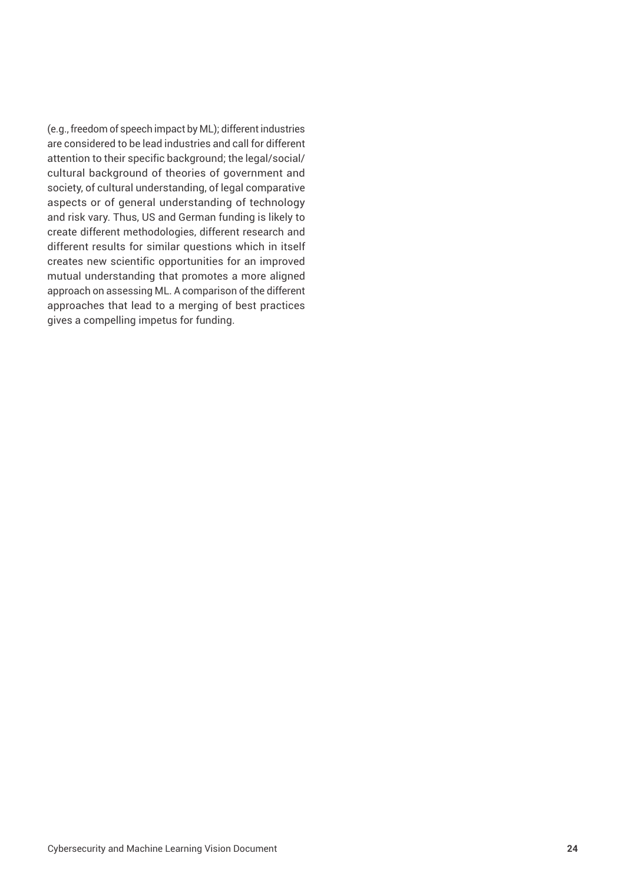(e.g., freedom of speech impact by ML); different industries are considered to be lead industries and call for different attention to their specific background; the legal/social/ cultural background of theories of government and society, of cultural understanding, of legal comparative aspects or of general understanding of technology and risk vary. Thus, US and German funding is likely to create different methodologies, different research and different results for similar questions which in itself creates new scientific opportunities for an improved mutual understanding that promotes a more aligned approach on assessing ML. A comparison of the different approaches that lead to a merging of best practices gives a compelling impetus for funding.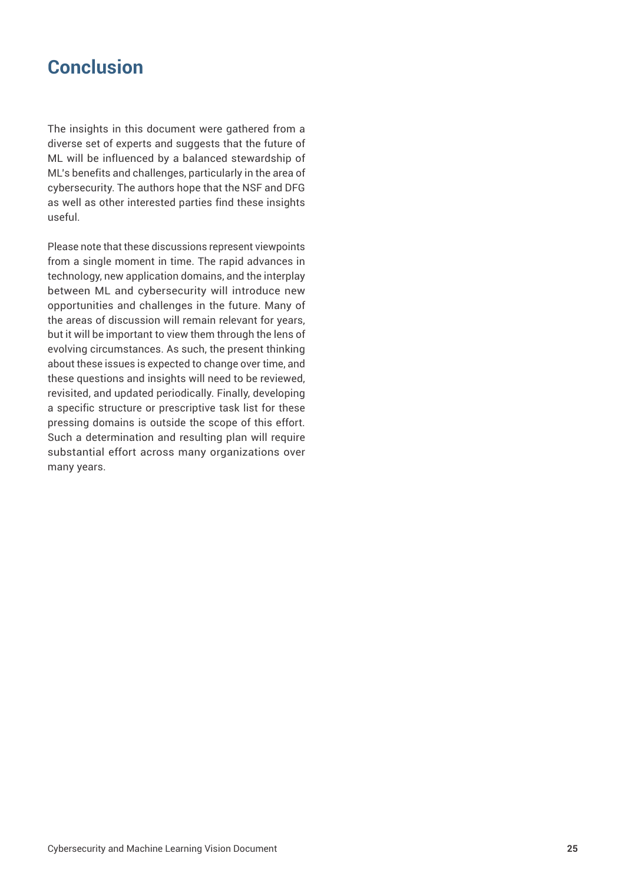# **Conclusion**

The insights in this document were gathered from a diverse set of experts and suggests that the future of ML will be influenced by a balanced stewardship of ML's benefits and challenges, particularly in the area of cybersecurity. The authors hope that the NSF and DFG as well as other interested parties find these insights useful.

Please note that these discussions represent viewpoints from a single moment in time. The rapid advances in technology, new application domains, and the interplay between ML and cybersecurity will introduce new opportunities and challenges in the future. Many of the areas of discussion will remain relevant for years, but it will be important to view them through the lens of evolving circumstances. As such, the present thinking about these issues is expected to change over time, and these questions and insights will need to be reviewed, revisited, and updated periodically. Finally, developing a specific structure or prescriptive task list for these pressing domains is outside the scope of this effort. Such a determination and resulting plan will require substantial effort across many organizations over many years.